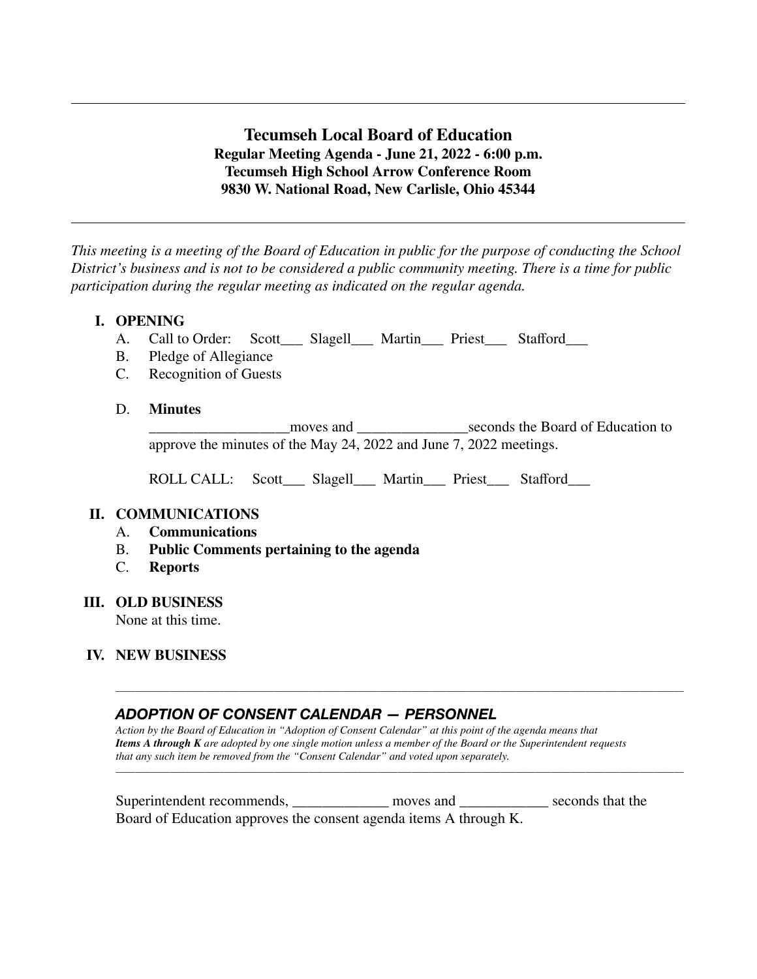# **Tecumseh Local Board of Education Regular Meeting Agenda - June 21, 2022 - 6:00 p.m. Tecumseh High School Arrow Conference Room 9830 W. National Road, New Carlisle, Ohio 45344**

*This meeting is a meeting of the Board of Education in public for the purpose of conducting the School District's business and is not to be considered a public community meeting. There is a time for public participation during the regular meeting as indicated on the regular agenda.*

# **I. OPENING**

- A. Call to Order: Scott\_\_\_ Slagell\_\_\_ Martin\_\_\_ Priest\_\_\_ Stafford\_\_\_
- B. Pledge of Allegiance
- C. Recognition of Guests

#### D. **Minutes**

\_\_\_\_\_\_\_\_\_\_\_\_\_\_\_\_\_\_\_moves and \_\_\_\_\_\_\_\_\_\_\_\_\_\_\_seconds the Board of Education to approve the minutes of the May 24, 2022 and June 7, 2022 meetings.

ROLL CALL: Scott\_\_\_ Slagell\_\_\_ Martin\_\_\_ Priest\_\_\_ Stafford\_\_\_

### **II. COMMUNICATIONS**

- A. **Communications**
- B. **Public Comments pertaining to the agenda**
- **Reports**

#### **III. OLD BUSINESS**

None at this time.

### **IV. NEW BUSINESS**

# *ADOPTION OF CONSENT CALENDAR — PERSONNEL*

*Action by the Board of Education in "Adoption of Consent Calendar" at this point of the agenda means that Items A through K are adopted by one single motion unless a member of the Board or the Superintendent requests that any such item be removed from the "Consent Calendar" and voted upon separately.*

\_\_\_\_\_\_\_\_\_\_\_\_\_\_\_\_\_\_\_\_\_\_\_\_\_\_\_\_\_\_\_\_\_\_\_\_\_\_\_\_\_\_\_\_\_\_\_\_\_\_\_\_\_\_\_\_\_\_\_\_\_\_\_\_\_\_\_\_\_\_\_\_\_\_\_\_\_\_\_\_\_\_\_\_\_\_\_\_\_\_\_\_\_\_\_\_\_\_\_\_\_\_\_\_\_\_\_\_\_\_\_\_\_\_\_

\_\_\_\_\_\_\_\_\_\_\_\_\_\_\_\_\_\_\_\_\_\_\_\_\_\_\_\_\_\_\_\_\_\_\_\_\_\_\_\_\_\_\_\_\_\_\_\_\_\_\_\_\_\_\_\_\_\_\_\_\_\_\_\_\_\_\_\_\_\_\_\_\_\_\_\_\_\_\_\_\_\_\_\_\_\_\_\_\_\_\_\_\_\_\_\_\_\_\_\_\_\_\_\_\_\_\_\_\_\_\_\_\_\_\_

| Superintendent recommends,                                        | moves and | seconds that the |
|-------------------------------------------------------------------|-----------|------------------|
| Board of Education approves the consent agenda items A through K. |           |                  |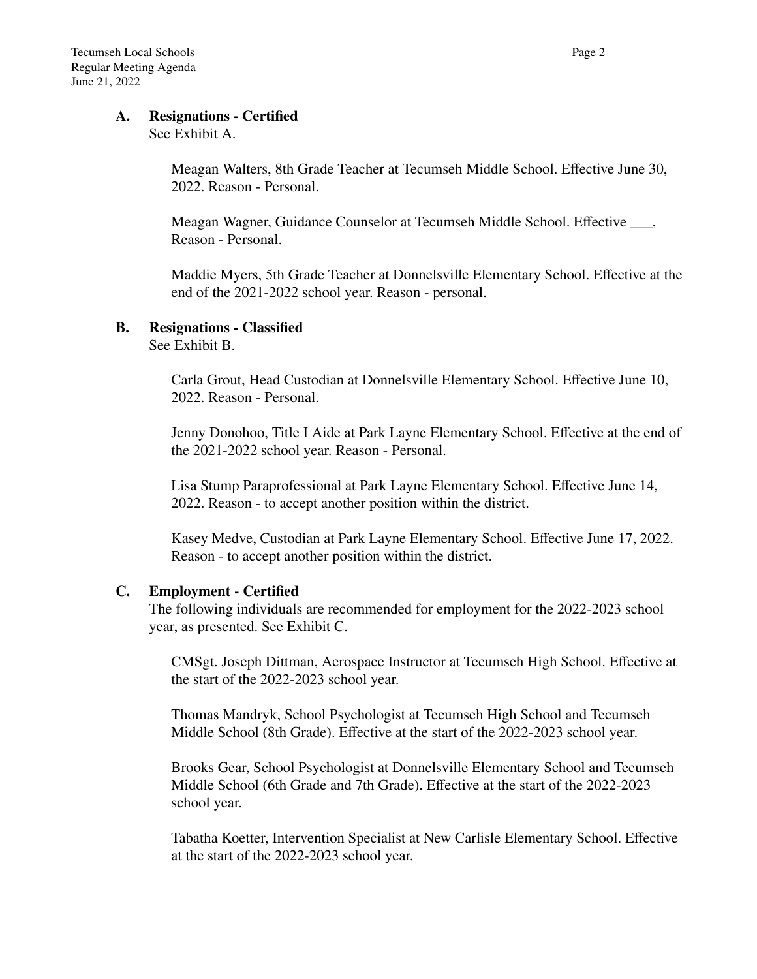#### **A. Resignations - Certified**

#### See Exhibit A.

Meagan Walters, 8th Grade Teacher at Tecumseh Middle School. Effective June 30, 2022. Reason - Personal.

Meagan Wagner, Guidance Counselor at Tecumseh Middle School. Effective \_\_\_, Reason - Personal.

Maddie Myers, 5th Grade Teacher at Donnelsville Elementary School. Effective at the end of the 2021-2022 school year. Reason - personal.

#### **B. Resignations - Classified**

See Exhibit B.

Carla Grout, Head Custodian at Donnelsville Elementary School. Effective June 10, 2022. Reason - Personal.

Jenny Donohoo, Title I Aide at Park Layne Elementary School. Effective at the end of the 2021-2022 school year. Reason - Personal.

Lisa Stump Paraprofessional at Park Layne Elementary School. Effective June 14, 2022. Reason - to accept another position within the district.

Kasey Medve, Custodian at Park Layne Elementary School. Effective June 17, 2022. Reason - to accept another position within the district.

### **C. Employment - Certified**

The following individuals are recommended for employment for the 2022-2023 school year, as presented. See Exhibit C.

CMSgt. Joseph Dittman, Aerospace Instructor at Tecumseh High School. Effective at the start of the 2022-2023 school year.

Thomas Mandryk, School Psychologist at Tecumseh High School and Tecumseh Middle School (8th Grade). Effective at the start of the 2022-2023 school year.

Brooks Gear, School Psychologist at Donnelsville Elementary School and Tecumseh Middle School (6th Grade and 7th Grade). Effective at the start of the 2022-2023 school year.

Tabatha Koetter, Intervention Specialist at New Carlisle Elementary School. Effective at the start of the 2022-2023 school year.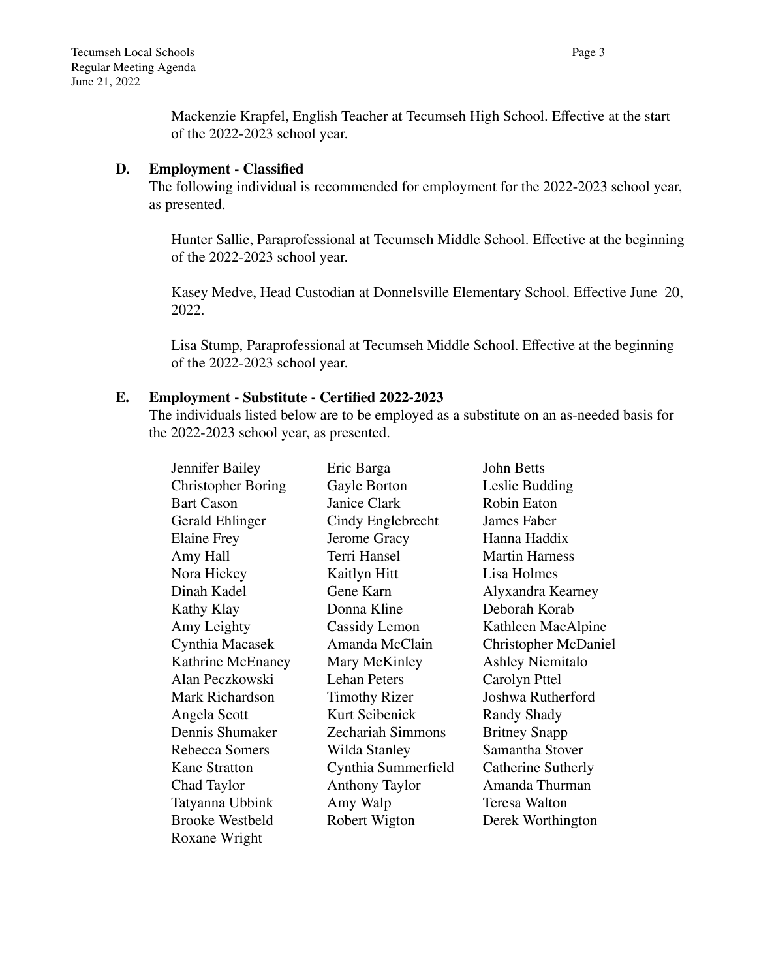Mackenzie Krapfel, English Teacher at Tecumseh High School. Effective at the start of the 2022-2023 school year.

### **D. Employment - Classified**

The following individual is recommended for employment for the 2022-2023 school year, as presented.

Hunter Sallie, Paraprofessional at Tecumseh Middle School. Effective at the beginning of the 2022-2023 school year.

Kasey Medve, Head Custodian at Donnelsville Elementary School. Effective June 20, 2022.

Lisa Stump, Paraprofessional at Tecumseh Middle School. Effective at the beginning of the 2022-2023 school year.

# **E. Employment - Substitute - Certified 2022-2023**

The individuals listed below are to be employed as a substitute on an as-needed basis for the 2022-2023 school year, as presented.

| Jennifer Bailey           | Eric Barga               | John Betts                  |
|---------------------------|--------------------------|-----------------------------|
| <b>Christopher Boring</b> | Gayle Borton             | Leslie Budding              |
| <b>Bart Cason</b>         | Janice Clark             | Robin Eaton                 |
| <b>Gerald Ehlinger</b>    | Cindy Englebrecht        | James Faber                 |
| <b>Elaine Frey</b>        | Jerome Gracy             | Hanna Haddix                |
| Amy Hall                  | Terri Hansel             | <b>Martin Harness</b>       |
| Nora Hickey               | Kaitlyn Hitt             | Lisa Holmes                 |
| Dinah Kadel               | Gene Karn                | Alyxandra Kearney           |
| Kathy Klay                | Donna Kline              | Deborah Korab               |
| Amy Leighty               | Cassidy Lemon            | Kathleen MacAlpine          |
| Cynthia Macasek           | Amanda McClain           | <b>Christopher McDaniel</b> |
| Kathrine McEnaney         | Mary McKinley            | <b>Ashley Niemitalo</b>     |
| Alan Peczkowski           | <b>Lehan Peters</b>      | Carolyn Pttel               |
| Mark Richardson           | <b>Timothy Rizer</b>     | Joshwa Rutherford           |
| Angela Scott              | Kurt Seibenick           | Randy Shady                 |
| Dennis Shumaker           | <b>Zechariah Simmons</b> | <b>Britney Snapp</b>        |
| Rebecca Somers            | Wilda Stanley            | Samantha Stover             |
| <b>Kane Stratton</b>      | Cynthia Summerfield      | Catherine Sutherly          |
| Chad Taylor               | <b>Anthony Taylor</b>    | Amanda Thurman              |
| Tatyanna Ubbink           | Amy Walp                 | Teresa Walton               |
| <b>Brooke Westbeld</b>    | Robert Wigton            | Derek Worthington           |
| Roxane Wright             |                          |                             |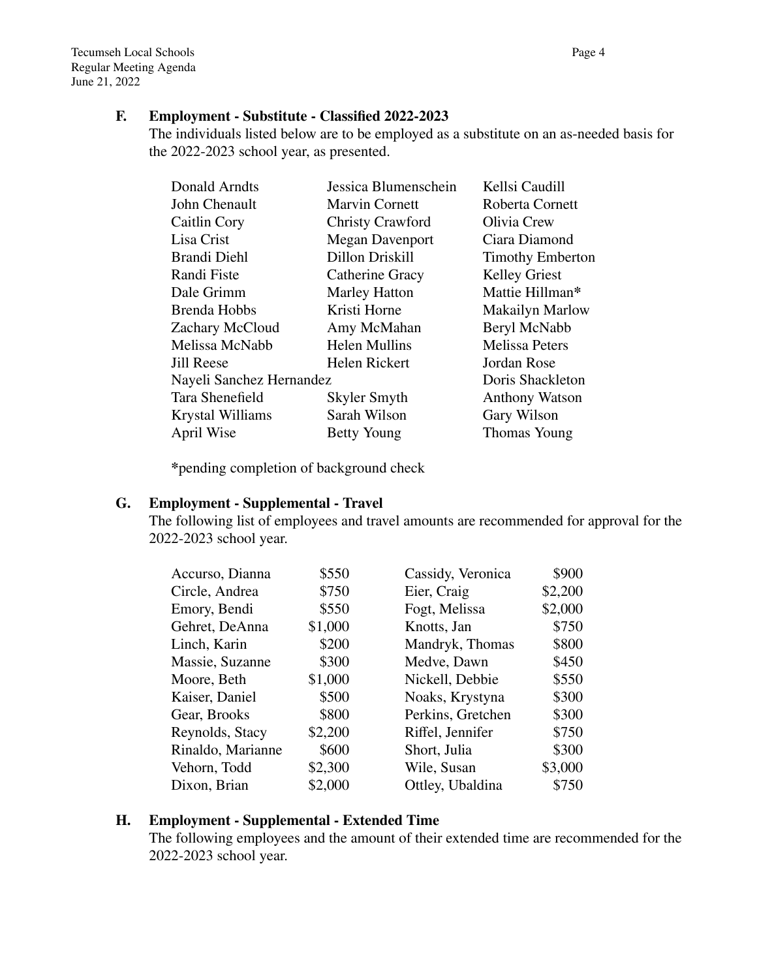#### **F. Employment - Substitute - Classified 2022-2023**

The individuals listed below are to be employed as a substitute on an as-needed basis for the 2022-2023 school year, as presented.

| Donald Arndts            | Jessica Blumenschein   | Kellsi Caudill          |
|--------------------------|------------------------|-------------------------|
| John Chenault            | <b>Marvin Cornett</b>  | Roberta Cornett         |
| Caitlin Cory             | Christy Crawford       | Olivia Crew             |
| Lisa Crist               | <b>Megan Davenport</b> | Ciara Diamond           |
| Brandi Diehl             | Dillon Driskill        | <b>Timothy Emberton</b> |
| Randi Fiste              | Catherine Gracy        | <b>Kelley Griest</b>    |
| Dale Grimm               | <b>Marley Hatton</b>   | Mattie Hillman*         |
| Brenda Hobbs             | Kristi Horne           | <b>Makailyn Marlow</b>  |
| Zachary McCloud          | Amy McMahan            | Beryl McNabb            |
| Melissa McNabb           | <b>Helen Mullins</b>   | <b>Melissa Peters</b>   |
| <b>Jill Reese</b>        | Helen Rickert          | Jordan Rose             |
| Nayeli Sanchez Hernandez |                        | Doris Shackleton        |
| Tara Shenefield          | Skyler Smyth           | <b>Anthony Watson</b>   |
| Krystal Williams         | Sarah Wilson           | Gary Wilson             |
| April Wise               | <b>Betty Young</b>     | Thomas Young            |

**\***pending completion of background check

## **G. Employment - Supplemental - Travel**

The following list of employees and travel amounts are recommended for approval for the 2022-2023 school year.

| Accurso, Dianna   | \$550   | Cassidy, Veronica | \$900   |
|-------------------|---------|-------------------|---------|
| Circle, Andrea    | \$750   | Eier, Craig       | \$2,200 |
| Emory, Bendi      | \$550   | Fogt, Melissa     | \$2,000 |
| Gehret, DeAnna    | \$1,000 | Knotts, Jan       | \$750   |
| Linch, Karin      | \$200   | Mandryk, Thomas   | \$800   |
| Massie, Suzanne   | \$300   | Medve, Dawn       | \$450   |
| Moore, Beth       | \$1,000 | Nickell, Debbie   | \$550   |
| Kaiser, Daniel    | \$500   | Noaks, Krystyna   | \$300   |
| Gear, Brooks      | \$800   | Perkins, Gretchen | \$300   |
| Reynolds, Stacy   | \$2,200 | Riffel, Jennifer  | \$750   |
| Rinaldo, Marianne | \$600   | Short, Julia      | \$300   |
| Vehorn, Todd      | \$2,300 | Wile, Susan       | \$3,000 |
| Dixon, Brian      | \$2,000 | Ottley, Ubaldina  | \$750   |

# **H. Employment - Supplemental - Extended Time**

The following employees and the amount of their extended time are recommended for the 2022-2023 school year.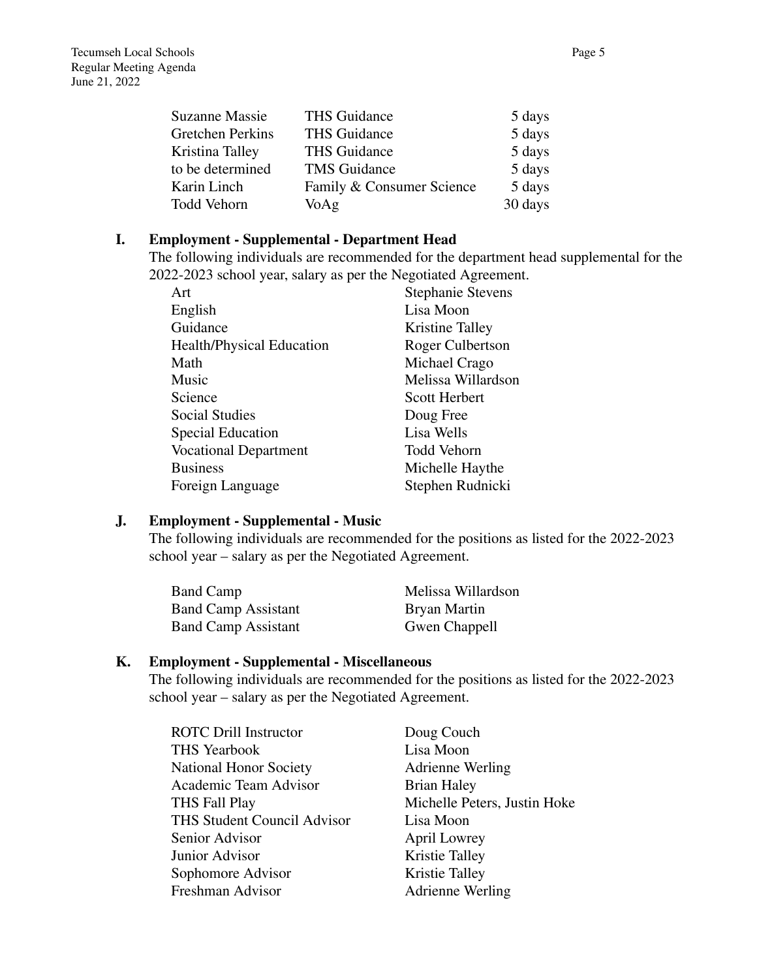| THS Guidance              | 5 days  |
|---------------------------|---------|
| <b>THS Guidance</b>       | 5 days  |
| <b>THS Guidance</b>       | 5 days  |
| <b>TMS</b> Guidance       | 5 days  |
| Family & Consumer Science | 5 days  |
| VoAg                      | 30 days |
|                           |         |

#### **I. Employment - Supplemental - Department Head**

The following individuals are recommended for the department head supplemental for the 2022-2023 school year, salary as per the Negotiated Agreement.

| Art                              | <b>Stephanie Stevens</b> |
|----------------------------------|--------------------------|
| English                          | Lisa Moon                |
| Guidance                         | Kristine Talley          |
| <b>Health/Physical Education</b> | Roger Culbertson         |
| Math                             | Michael Crago            |
| Music                            | Melissa Willardson       |
| Science                          | <b>Scott Herbert</b>     |
| <b>Social Studies</b>            | Doug Free                |
| <b>Special Education</b>         | Lisa Wells               |
| <b>Vocational Department</b>     | <b>Todd Vehorn</b>       |
| <b>Business</b>                  | Michelle Haythe          |
| Foreign Language                 | Stephen Rudnicki         |
|                                  |                          |

### **J. Employment - Supplemental - Music**

The following individuals are recommended for the positions as listed for the 2022-2023 school year – salary as per the Negotiated Agreement.

| <b>Band Camp</b>           | Melissa Willardson |
|----------------------------|--------------------|
| <b>Band Camp Assistant</b> | Bryan Martin       |
| <b>Band Camp Assistant</b> | Gwen Chappell      |

### **K. Employment - Supplemental - Miscellaneous**

The following individuals are recommended for the positions as listed for the 2022-2023 school year – salary as per the Negotiated Agreement.

| Doug Couch                   |
|------------------------------|
| Lisa Moon                    |
| Adrienne Werling             |
| <b>Brian Haley</b>           |
| Michelle Peters, Justin Hoke |
| Lisa Moon                    |
| April Lowrey                 |
| Kristie Talley               |
| Kristie Talley               |
| <b>Adrienne Werling</b>      |
|                              |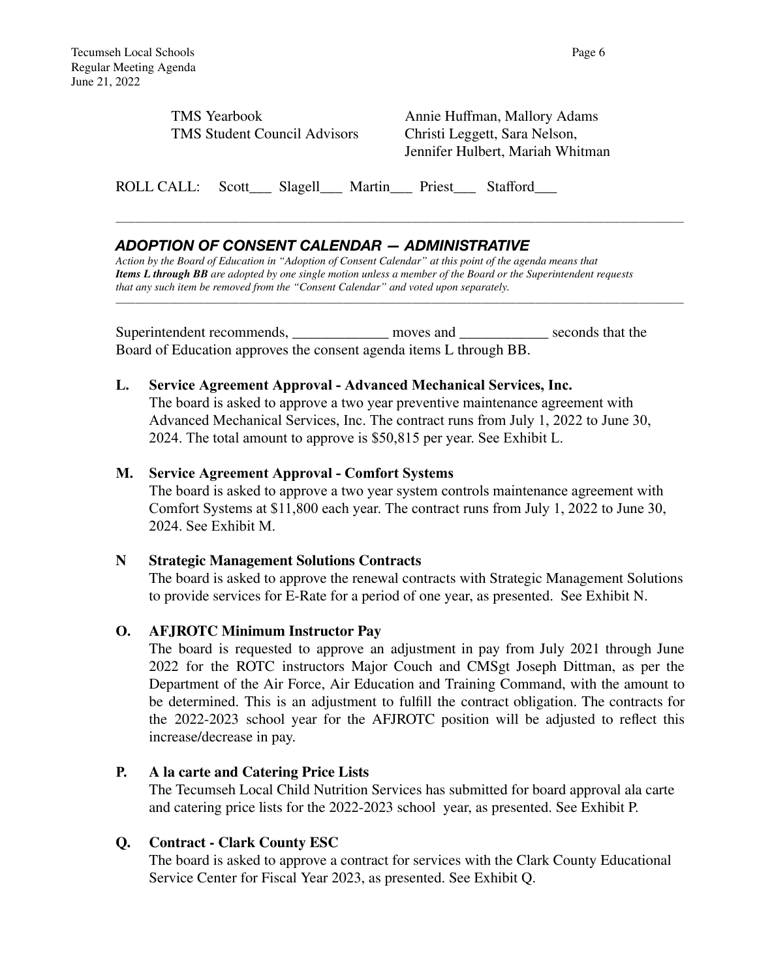| <b>TMS</b> Yearbook                 |  |
|-------------------------------------|--|
| <b>TMS Student Council Advisors</b> |  |

Annie Huffman, Mallory Adams Christi Leggett, Sara Nelson, Jennifer Hulbert, Mariah Whitman

ROLL CALL: Scott\_\_\_ Slagell\_\_\_ Martin\_\_\_ Priest\_\_\_ Stafford\_\_\_

# *ADOPTION OF CONSENT CALENDAR — ADMINISTRATIVE*

*Action by the Board of Education in "Adoption of Consent Calendar" at this point of the agenda means that Items L through BB are adopted by one single motion unless a member of the Board or the Superintendent requests that any such item be removed from the "Consent Calendar" and voted upon separately.*

\_\_\_\_\_\_\_\_\_\_\_\_\_\_\_\_\_\_\_\_\_\_\_\_\_\_\_\_\_\_\_\_\_\_\_\_\_\_\_\_\_\_\_\_\_\_\_\_\_\_\_\_\_\_\_\_\_\_\_\_\_\_\_\_\_\_\_\_\_\_\_\_\_\_\_\_\_\_\_\_\_\_\_\_\_\_\_\_\_\_\_\_\_\_\_\_\_\_\_\_\_\_\_\_\_\_\_\_\_\_\_\_\_\_\_

\_\_\_\_\_\_\_\_\_\_\_\_\_\_\_\_\_\_\_\_\_\_\_\_\_\_\_\_\_\_\_\_\_\_\_\_\_\_\_\_\_\_\_\_\_\_\_\_\_\_\_\_\_\_\_\_\_\_\_\_\_\_\_\_\_\_\_\_\_\_\_\_\_\_\_\_\_\_\_\_\_\_\_\_\_\_\_\_\_\_\_\_\_\_\_\_\_\_\_\_\_\_\_\_\_\_\_\_\_\_\_\_\_\_\_

Superintendent recommends, moves and seconds that the Board of Education approves the consent agenda items L through BB.

### **L. Service Agreement Approval - Advanced Mechanical Services, Inc.**

The board is asked to approve a two year preventive maintenance agreement with Advanced Mechanical Services, Inc. The contract runs from July 1, 2022 to June 30, 2024. The total amount to approve is \$50,815 per year. See Exhibit L.

### **M. Service Agreement Approval - Comfort Systems**

The board is asked to approve a two year system controls maintenance agreement with Comfort Systems at \$11,800 each year. The contract runs from July 1, 2022 to June 30, 2024. See Exhibit M.

### **N Strategic Management Solutions Contracts**

The board is asked to approve the renewal contracts with Strategic Management Solutions to provide services for E-Rate for a period of one year, as presented. See Exhibit N.

### **O. AFJROTC Minimum Instructor Pay**

The board is requested to approve an adjustment in pay from July 2021 through June 2022 for the ROTC instructors Major Couch and CMSgt Joseph Dittman, as per the Department of the Air Force, Air Education and Training Command, with the amount to be determined. This is an adjustment to fulfill the contract obligation. The contracts for the 2022-2023 school year for the AFJROTC position will be adjusted to reflect this increase/decrease in pay.

### **P. A la carte and Catering Price Lists**

The Tecumseh Local Child Nutrition Services has submitted for board approval ala carte and catering price lists for the 2022-2023 school year, as presented. See Exhibit P.

### **Q. Contract - Clark County ESC**

The board is asked to approve a contract for services with the Clark County Educational Service Center for Fiscal Year 2023, as presented. See Exhibit Q.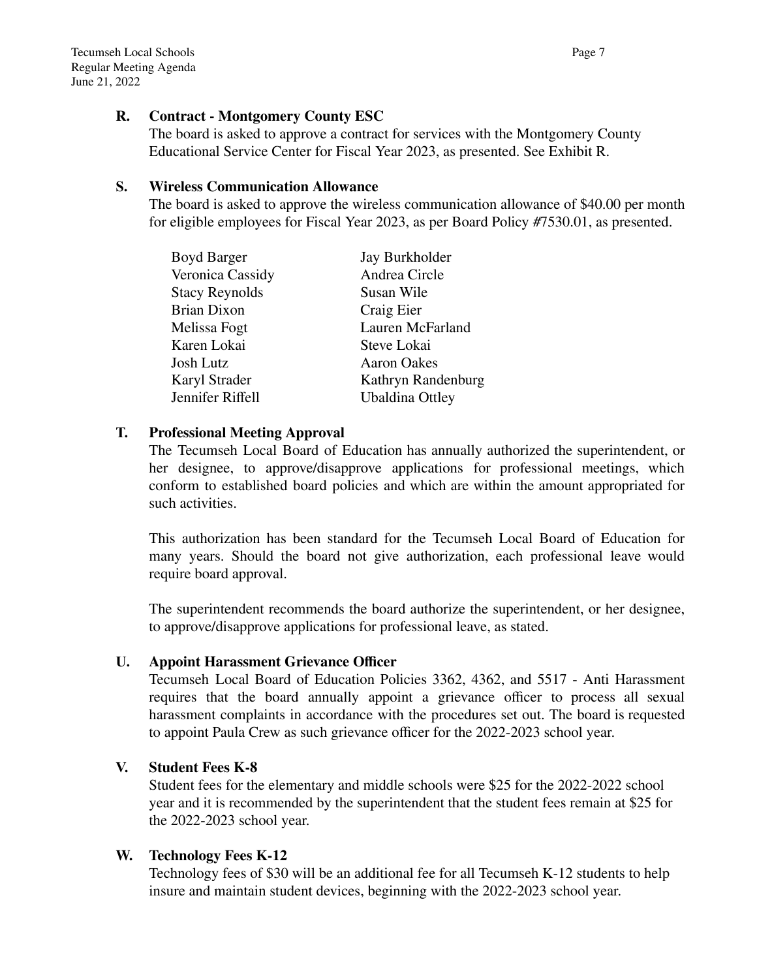# **R. Contract - Montgomery County ESC**

The board is asked to approve a contract for services with the Montgomery County Educational Service Center for Fiscal Year 2023, as presented. See Exhibit R.

## **S. Wireless Communication Allowance**

The board is asked to approve the wireless communication allowance of \$40.00 per month for eligible employees for Fiscal Year 2023, as per Board Policy #7530.01, as presented.

| Jay Burkholder         |
|------------------------|
| Andrea Circle          |
| Susan Wile             |
| Craig Eier             |
| Lauren McFarland       |
| Steve Lokai            |
| <b>Aaron Oakes</b>     |
| Kathryn Randenburg     |
| <b>Ubaldina Ottley</b> |
|                        |

# **T. Professional Meeting Approval**

The Tecumseh Local Board of Education has annually authorized the superintendent, or her designee, to approve/disapprove applications for professional meetings, which conform to established board policies and which are within the amount appropriated for such activities.

This authorization has been standard for the Tecumseh Local Board of Education for many years. Should the board not give authorization, each professional leave would require board approval.

The superintendent recommends the board authorize the superintendent, or her designee, to approve/disapprove applications for professional leave, as stated.

# **U. Appoint Harassment Grievance Officer**

Tecumseh Local Board of Education Policies 3362, 4362, and 5517 - Anti Harassment requires that the board annually appoint a grievance officer to process all sexual harassment complaints in accordance with the procedures set out. The board is requested to appoint Paula Crew as such grievance officer for the 2022-2023 school year.

# **V. Student Fees K-8**

Student fees for the elementary and middle schools were \$25 for the 2022-2022 school year and it is recommended by the superintendent that the student fees remain at \$25 for the 2022-2023 school year.

# **W. Technology Fees K-12**

Technology fees of \$30 will be an additional fee for all Tecumseh K-12 students to help insure and maintain student devices, beginning with the 2022-2023 school year.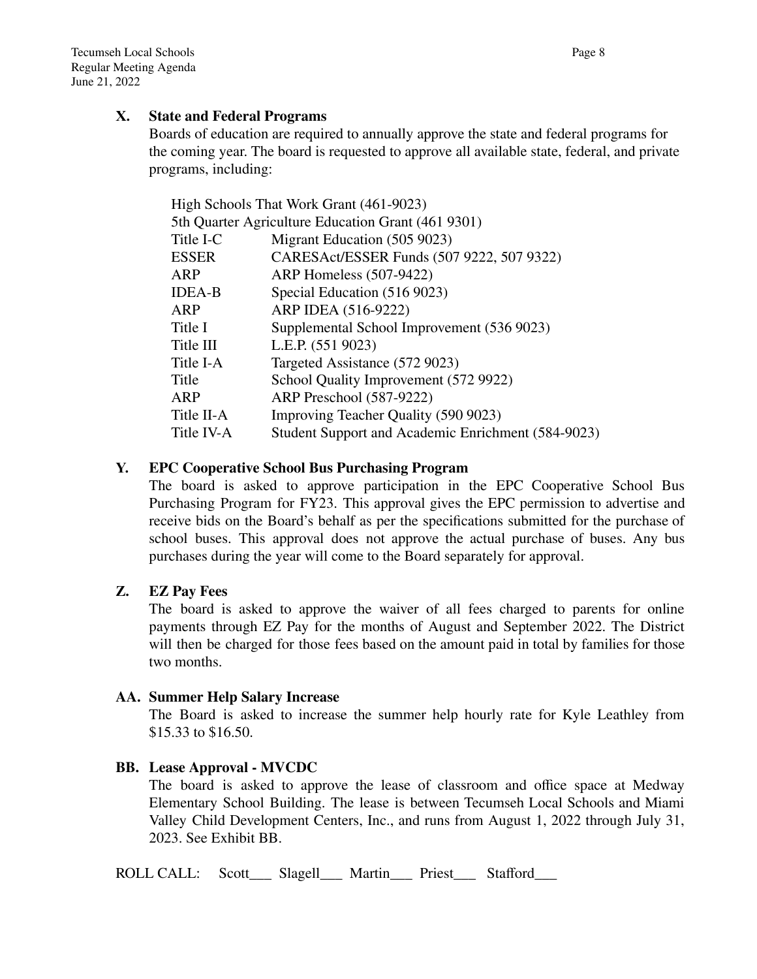# **X. State and Federal Programs**

Boards of education are required to annually approve the state and federal programs for the coming year. The board is requested to approve all available state, federal, and private programs, including:

| High Schools That Work Grant (461-9023) |                                                    |  |
|-----------------------------------------|----------------------------------------------------|--|
|                                         | 5th Quarter Agriculture Education Grant (461 9301) |  |
| Title I-C                               | Migrant Education (505 9023)                       |  |
| ESSER                                   | CARESAct/ESSER Funds (507 9222, 507 9322)          |  |
| ARP                                     | ARP Homeless (507-9422)                            |  |
| <b>IDEA-B</b>                           | Special Education (516 9023)                       |  |
| ARP                                     | ARP IDEA (516-9222)                                |  |
| Title I                                 | Supplemental School Improvement (536 9023)         |  |
| Title III                               | L.E.P. (551 9023)                                  |  |
| Title I-A                               | Targeted Assistance (572 9023)                     |  |
| Title                                   | School Quality Improvement (572 9922)              |  |
| ARP                                     | ARP Preschool (587-9222)                           |  |
| Title II-A                              | Improving Teacher Quality (590 9023)               |  |
| Title IV-A                              | Student Support and Academic Enrichment (584-9023) |  |
|                                         |                                                    |  |

# **Y. EPC Cooperative School Bus Purchasing Program**

The board is asked to approve participation in the EPC Cooperative School Bus Purchasing Program for FY23. This approval gives the EPC permission to advertise and receive bids on the Board's behalf as per the specifications submitted for the purchase of school buses. This approval does not approve the actual purchase of buses. Any bus purchases during the year will come to the Board separately for approval.

# **Z. EZ Pay Fees**

The board is asked to approve the waiver of all fees charged to parents for online payments through EZ Pay for the months of August and September 2022. The District will then be charged for those fees based on the amount paid in total by families for those two months.

# **AA. Summer Help Salary Increase**

The Board is asked to increase the summer help hourly rate for Kyle Leathley from \$15.33 to \$16.50.

# **BB. Lease Approval - MVCDC**

The board is asked to approve the lease of classroom and office space at Medway Elementary School Building. The lease is between Tecumseh Local Schools and Miami Valley Child Development Centers, Inc., and runs from August 1, 2022 through July 31, 2023. See Exhibit BB.

ROLL CALL: Scott\_\_\_ Slagell\_\_\_ Martin\_\_\_ Priest\_\_\_ Stafford\_\_\_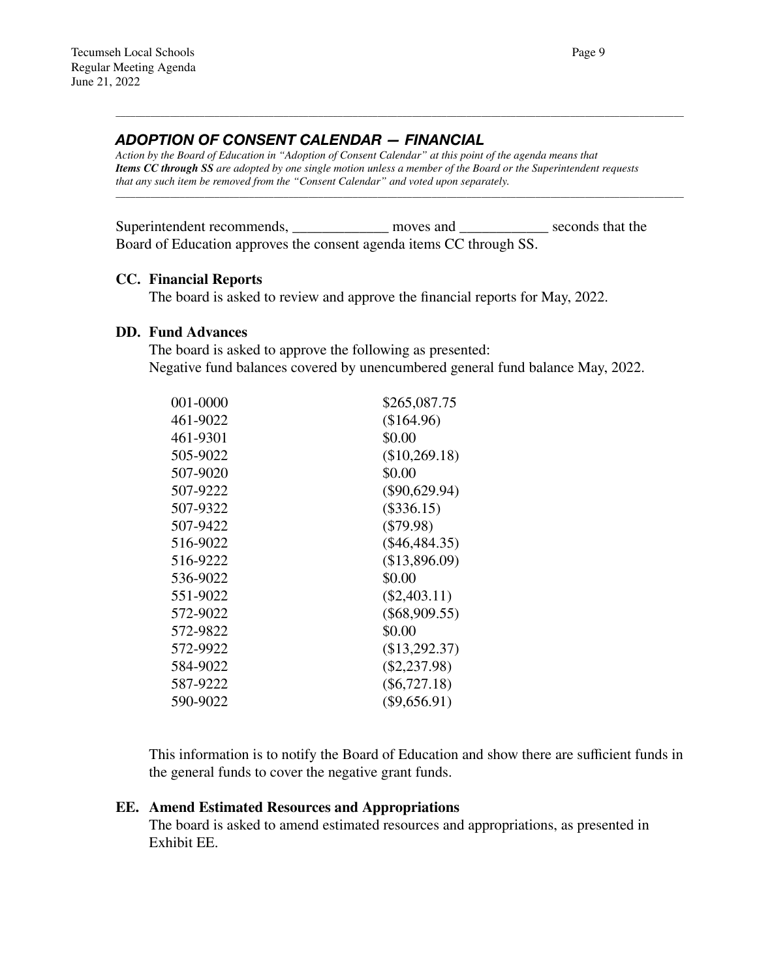### *ADOPTION OF CONSENT CALENDAR — FINANCIAL*

*Action by the Board of Education in "Adoption of Consent Calendar" at this point of the agenda means that Items CC through SS are adopted by one single motion unless a member of the Board or the Superintendent requests that any such item be removed from the "Consent Calendar" and voted upon separately.*

\_\_\_\_\_\_\_\_\_\_\_\_\_\_\_\_\_\_\_\_\_\_\_\_\_\_\_\_\_\_\_\_\_\_\_\_\_\_\_\_\_\_\_\_\_\_\_\_\_\_\_\_\_\_\_\_\_\_\_\_\_\_\_\_\_\_\_\_\_\_\_\_\_\_\_\_\_\_\_\_\_\_\_\_\_\_\_\_\_\_\_\_\_\_\_\_\_\_\_\_\_\_\_\_\_\_\_\_\_\_\_\_\_\_\_

\_\_\_\_\_\_\_\_\_\_\_\_\_\_\_\_\_\_\_\_\_\_\_\_\_\_\_\_\_\_\_\_\_\_\_\_\_\_\_\_\_\_\_\_\_\_\_\_\_\_\_\_\_\_\_\_\_\_\_\_\_\_\_\_\_\_\_\_\_\_\_\_\_\_\_\_\_\_\_\_\_\_\_\_\_\_\_\_\_\_\_\_\_\_\_\_\_\_\_\_\_\_\_\_\_\_\_\_\_\_\_\_\_\_\_

Superintendent recommends, moves and seconds that the Board of Education approves the consent agenda items CC through SS.

#### **CC. Financial Reports**

The board is asked to review and approve the financial reports for May, 2022.

#### **DD. Fund Advances**

The board is asked to approve the following as presented: Negative fund balances covered by unencumbered general fund balance May, 2022.

| \$265,087.75    |
|-----------------|
| (\$164.96)      |
| \$0.00          |
| (\$10,269.18)   |
| \$0.00          |
| $(\$90,629.94)$ |
| $(\$336.15)$    |
| $(\$79.98)$     |
| $(\$46,484.35)$ |
| (\$13,896.09)   |
| \$0.00          |
| $(\$2,403.11)$  |
| $(\$68,909.55)$ |
| \$0.00          |
| $(\$13,292.37)$ |
| $(\$2,237.98)$  |
| $(\$6,727.18)$  |
| $(\$9,656.91)$  |
|                 |

This information is to notify the Board of Education and show there are sufficient funds in the general funds to cover the negative grant funds.

#### **EE. Amend Estimated Resources and Appropriations**

The board is asked to amend estimated resources and appropriations, as presented in Exhibit EE.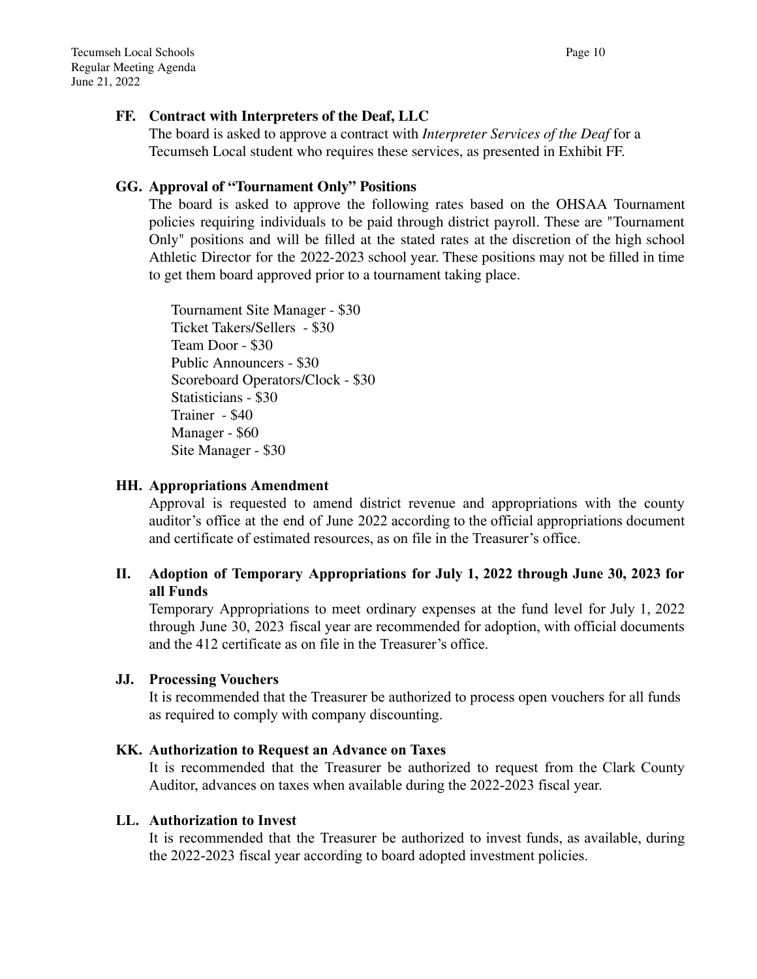# **FF. Contract with Interpreters of the Deaf, LLC**

The board is asked to approve a contract with *Interpreter Services of the Deaf* for a Tecumseh Local student who requires these services, as presented in Exhibit FF.

# **GG. Approval of "Tournament Only" Positions**

The board is asked to approve the following rates based on the OHSAA Tournament policies requiring individuals to be paid through district payroll. These are "Tournament Only" positions and will be filled at the stated rates at the discretion of the high school Athletic Director for the 2022-2023 school year. These positions may not be filled in time to get them board approved prior to a tournament taking place.

Tournament Site Manager - \$30 Ticket Takers/Sellers - \$30 Team Door - \$30 Public Announcers - \$30 Scoreboard Operators/Clock - \$30 Statisticians - \$30 Trainer - \$40 Manager - \$60 Site Manager - \$30

### **HH. Appropriations Amendment**

Approval is requested to amend district revenue and appropriations with the county auditor's office at the end of June 2022 according to the official appropriations document and certificate of estimated resources, as on file in the Treasurer's office.

# **II. Adoption of Temporary Appropriations for July 1, 2022 through June 30, 2023 for all Funds**

Temporary Appropriations to meet ordinary expenses at the fund level for July 1, 2022 through June 30, 2023 fiscal year are recommended for adoption, with official documents and the 412 certificate as on file in the Treasurer's office.

### **JJ. Processing Vouchers**

It is recommended that the Treasurer be authorized to process open vouchers for all funds as required to comply with company discounting.

### **KK. Authorization to Request an Advance on Taxes**

It is recommended that the Treasurer be authorized to request from the Clark County Auditor, advances on taxes when available during the 2022-2023 fiscal year.

#### **LL. Authorization to Invest**

It is recommended that the Treasurer be authorized to invest funds, as available, during the 2022-2023 fiscal year according to board adopted investment policies.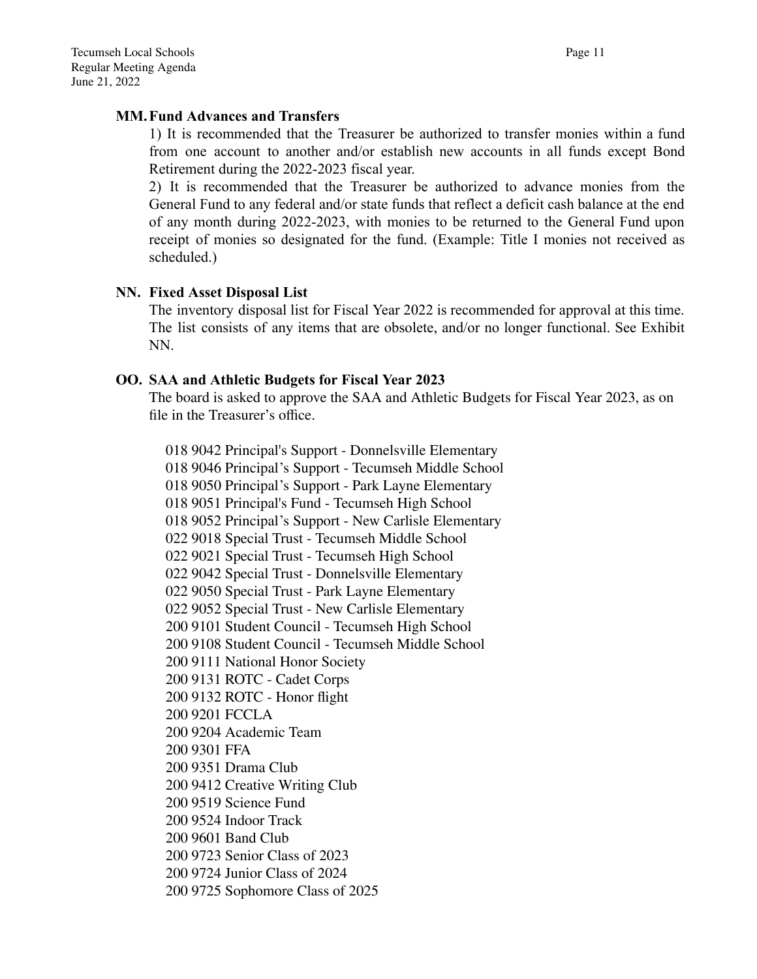#### **MM.Fund Advances and Transfers**

1) It is recommended that the Treasurer be authorized to transfer monies within a fund from one account to another and/or establish new accounts in all funds except Bond Retirement during the 2022-2023 fiscal year.

2) It is recommended that the Treasurer be authorized to advance monies from the General Fund to any federal and/or state funds that reflect a deficit cash balance at the end of any month during 2022-2023, with monies to be returned to the General Fund upon receipt of monies so designated for the fund. (Example: Title I monies not received as scheduled.)

#### **NN. Fixed Asset Disposal List**

The inventory disposal list for Fiscal Year 2022 is recommended for approval at this time. The list consists of any items that are obsolete, and/or no longer functional. See Exhibit NN.

#### **OO. SAA and Athletic Budgets for Fiscal Year 2023**

The board is asked to approve the SAA and Athletic Budgets for Fiscal Year 2023, as on file in the Treasurer's office.

018 9042 Principal's Support - Donnelsville Elementary 018 9046 Principal's Support - Tecumseh Middle School 018 9050 Principal's Support - Park Layne Elementary 018 9051 Principal's Fund - Tecumseh High School 018 9052 Principal's Support - New Carlisle Elementary 022 9018 Special Trust - Tecumseh Middle School 022 9021 Special Trust - Tecumseh High School 022 9042 Special Trust - Donnelsville Elementary 022 9050 Special Trust - Park Layne Elementary 022 9052 Special Trust - New Carlisle Elementary 200 9101 Student Council - Tecumseh High School 200 9108 Student Council - Tecumseh Middle School 200 9111 National Honor Society 200 9131 ROTC - Cadet Corps 200 9132 ROTC - Honor flight 200 9201 FCCLA 200 9204 Academic Team 200 9301 FFA 200 9351 Drama Club 200 9412 Creative Writing Club 200 9519 Science Fund 200 9524 Indoor Track 200 9601 Band Club 200 9723 Senior Class of 2023 200 9724 Junior Class of 2024 200 9725 Sophomore Class of 2025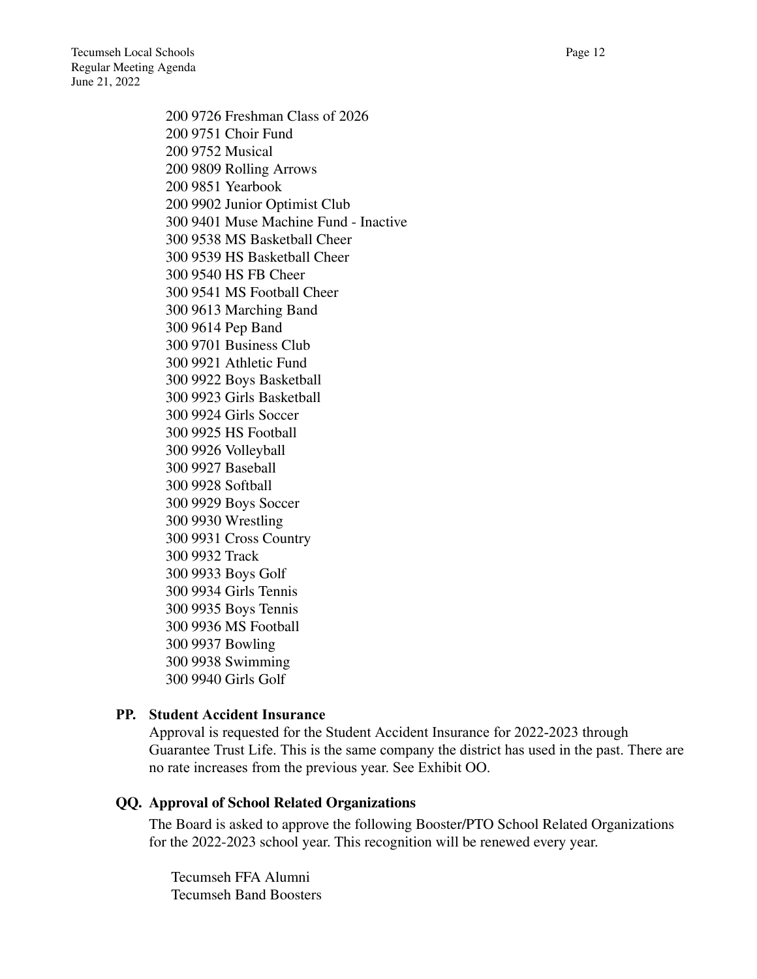200 9726 Freshman Class of 2026 200 9751 Choir Fund 200 9752 Musical 200 9809 Rolling Arrows 200 9851 Yearbook 200 9902 Junior Optimist Club 300 9401 Muse Machine Fund - Inactive 300 9538 MS Basketball Cheer 300 9539 HS Basketball Cheer 300 9540 HS FB Cheer 300 9541 MS Football Cheer 300 9613 Marching Band 300 9614 Pep Band 300 9701 Business Club 300 9921 Athletic Fund 300 9922 Boys Basketball 300 9923 Girls Basketball 300 9924 Girls Soccer 300 9925 HS Football 300 9926 Volleyball 300 9927 Baseball 300 9928 Softball 300 9929 Boys Soccer 300 9930 Wrestling 300 9931 Cross Country 300 9932 Track 300 9933 Boys Golf 300 9934 Girls Tennis 300 9935 Boys Tennis 300 9936 MS Football 300 9937 Bowling 300 9938 Swimming 300 9940 Girls Golf

### **PP. Student Accident Insurance**

Approval is requested for the Student Accident Insurance for 2022-2023 through Guarantee Trust Life. This is the same company the district has used in the past. There are no rate increases from the previous year. See Exhibit OO.

### **QQ. Approval of School Related Organizations**

The Board is asked to approve the following Booster/PTO School Related Organizations for the 2022-2023 school year. This recognition will be renewed every year.

Tecumseh FFA Alumni Tecumseh Band Boosters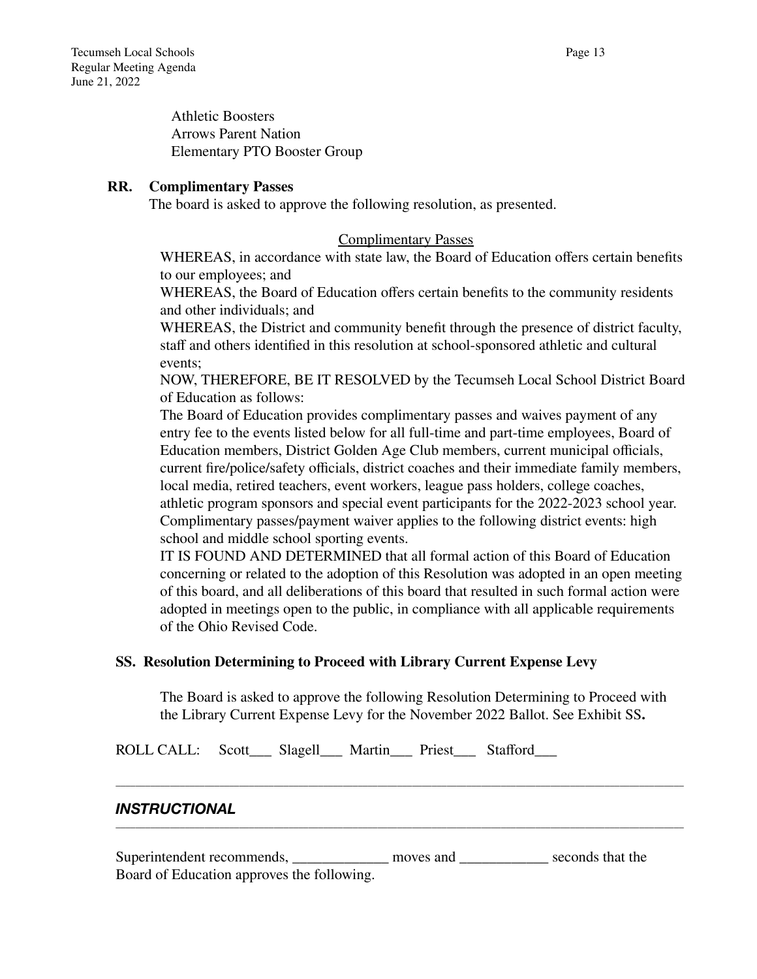Athletic Boosters Arrows Parent Nation Elementary PTO Booster Group

#### **RR. Complimentary Passes**

The board is asked to approve the following resolution, as presented.

#### Complimentary Passes

WHEREAS, in accordance with state law, the Board of Education offers certain benefits to our employees; and

WHEREAS, the Board of Education offers certain benefits to the community residents and other individuals; and

WHEREAS, the District and community benefit through the presence of district faculty, staff and others identified in this resolution at school-sponsored athletic and cultural events;

NOW, THEREFORE, BE IT RESOLVED by the Tecumseh Local School District Board of Education as follows:

The Board of Education provides complimentary passes and waives payment of any entry fee to the events listed below for all full-time and part-time employees, Board of Education members, District Golden Age Club members, current municipal officials, current fire/police/safety officials, district coaches and their immediate family members, local media, retired teachers, event workers, league pass holders, college coaches, athletic program sponsors and special event participants for the 2022-2023 school year. Complimentary passes/payment waiver applies to the following district events: high school and middle school sporting events.

IT IS FOUND AND DETERMINED that all formal action of this Board of Education concerning or related to the adoption of this Resolution was adopted in an open meeting of this board, and all deliberations of this board that resulted in such formal action were adopted in meetings open to the public, in compliance with all applicable requirements of the Ohio Revised Code.

### **SS. Resolution Determining to Proceed with Library Current Expense Levy**

The Board is asked to approve the following Resolution Determining to Proceed with the Library Current Expense Levy for the November 2022 Ballot. See Exhibit SS**.**

\_\_\_\_\_\_\_\_\_\_\_\_\_\_\_\_\_\_\_\_\_\_\_\_\_\_\_\_\_\_\_\_\_\_\_\_\_\_\_\_\_\_\_\_\_\_\_\_\_\_\_\_\_\_\_\_\_\_\_\_\_\_\_\_\_\_\_\_\_\_\_\_\_\_\_\_\_\_\_\_\_\_\_\_\_\_\_\_\_\_\_\_\_\_\_\_\_\_\_\_\_\_\_\_\_\_\_\_\_\_\_\_\_\_\_

\_\_\_\_\_\_\_\_\_\_\_\_\_\_\_\_\_\_\_\_\_\_\_\_\_\_\_\_\_\_\_\_\_\_\_\_\_\_\_\_\_\_\_\_\_\_\_\_\_\_\_\_\_\_\_\_\_\_\_\_\_\_\_\_\_\_\_\_\_\_\_\_\_\_\_\_\_\_\_\_\_\_\_\_\_\_\_\_\_\_\_\_\_\_\_\_\_\_\_\_\_\_\_\_\_\_\_\_\_\_\_\_\_\_\_

ROLL CALL: Scott\_\_\_ Slagell\_\_\_ Martin\_\_\_ Priest\_\_\_ Stafford\_\_\_

## *INSTRUCTIONAL*

Superintendent recommends, moves and seconds that the Board of Education approves the following.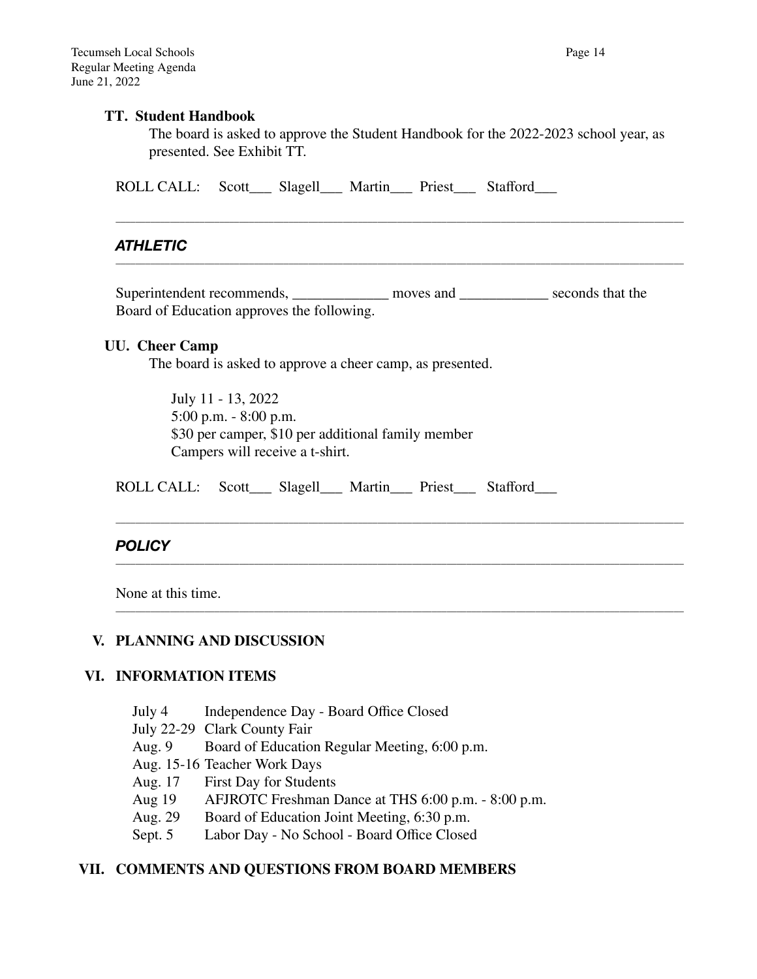#### **TT. Student Handbook**

The board is asked to approve the Student Handbook for the 2022-2023 school year, as presented. See Exhibit TT.

\_\_\_\_\_\_\_\_\_\_\_\_\_\_\_\_\_\_\_\_\_\_\_\_\_\_\_\_\_\_\_\_\_\_\_\_\_\_\_\_\_\_\_\_\_\_\_\_\_\_\_\_\_\_\_\_\_\_\_\_\_\_\_\_\_\_\_\_\_\_\_\_\_\_\_\_\_\_\_\_\_\_\_\_\_\_\_\_\_\_\_\_\_\_\_\_\_\_\_\_\_\_\_\_\_\_\_\_\_\_\_\_\_\_\_

\_\_\_\_\_\_\_\_\_\_\_\_\_\_\_\_\_\_\_\_\_\_\_\_\_\_\_\_\_\_\_\_\_\_\_\_\_\_\_\_\_\_\_\_\_\_\_\_\_\_\_\_\_\_\_\_\_\_\_\_\_\_\_\_\_\_\_\_\_\_\_\_\_\_\_\_\_\_\_\_\_\_\_\_\_\_\_\_\_\_\_\_\_\_\_\_\_\_\_\_\_\_\_\_\_\_\_\_\_\_\_\_\_\_\_

\_\_\_\_\_\_\_\_\_\_\_\_\_\_\_\_\_\_\_\_\_\_\_\_\_\_\_\_\_\_\_\_\_\_\_\_\_\_\_\_\_\_\_\_\_\_\_\_\_\_\_\_\_\_\_\_\_\_\_\_\_\_\_\_\_\_\_\_\_\_\_\_\_\_\_\_\_\_\_\_\_\_\_\_\_\_\_\_\_\_\_\_\_\_\_\_\_\_\_\_\_\_\_\_\_\_\_\_\_\_\_\_\_\_\_

\_\_\_\_\_\_\_\_\_\_\_\_\_\_\_\_\_\_\_\_\_\_\_\_\_\_\_\_\_\_\_\_\_\_\_\_\_\_\_\_\_\_\_\_\_\_\_\_\_\_\_\_\_\_\_\_\_\_\_\_\_\_\_\_\_\_\_\_\_\_\_\_\_\_\_\_\_\_\_\_\_\_\_\_\_\_\_\_\_\_\_\_\_\_\_\_\_\_\_\_\_\_\_\_\_\_\_\_\_\_\_\_\_\_\_

\_\_\_\_\_\_\_\_\_\_\_\_\_\_\_\_\_\_\_\_\_\_\_\_\_\_\_\_\_\_\_\_\_\_\_\_\_\_\_\_\_\_\_\_\_\_\_\_\_\_\_\_\_\_\_\_\_\_\_\_\_\_\_\_\_\_\_\_\_\_\_\_\_\_\_\_\_\_\_\_\_\_\_\_\_\_\_\_\_\_\_\_\_\_\_\_\_\_\_\_\_\_\_\_\_\_\_\_\_\_\_\_\_\_\_

ROLL CALL: Scott\_\_\_ Slagell\_\_\_ Martin\_\_\_ Priest\_\_\_ Stafford\_\_\_

# *ATHLETIC*

Superintendent recommends, moves and seconds that the Board of Education approves the following.

#### **UU. Cheer Camp**

The board is asked to approve a cheer camp, as presented.

July 11 - 13, 2022 5:00 p.m. - 8:00 p.m. \$30 per camper, \$10 per additional family member Campers will receive a t-shirt.

ROLL CALL: Scott\_\_\_ Slagell\_\_\_ Martin\_\_\_ Priest\_\_\_ Stafford\_\_\_

### *POLICY*

None at this time.

#### **V. PLANNING AND DISCUSSION**

#### **VI. INFORMATION ITEMS**

- July 4 Independence Day Board Office Closed
- July 22-29 Clark County Fair
- Aug. 9 Board of Education Regular Meeting, 6:00 p.m.
- Aug. 15-16 Teacher Work Days
- Aug. 17 First Day for Students
- Aug 19 AFJROTC Freshman Dance at THS 6:00 p.m. 8:00 p.m.
- 
- Aug. 29 Board of Education Joint Meeting, 6:30 p.m.<br>Sept. 5 Labor Day No School Board Office Closed Labor Day - No School - Board Office Closed

### **VII. COMMENTS AND QUESTIONS FROM BOARD MEMBERS**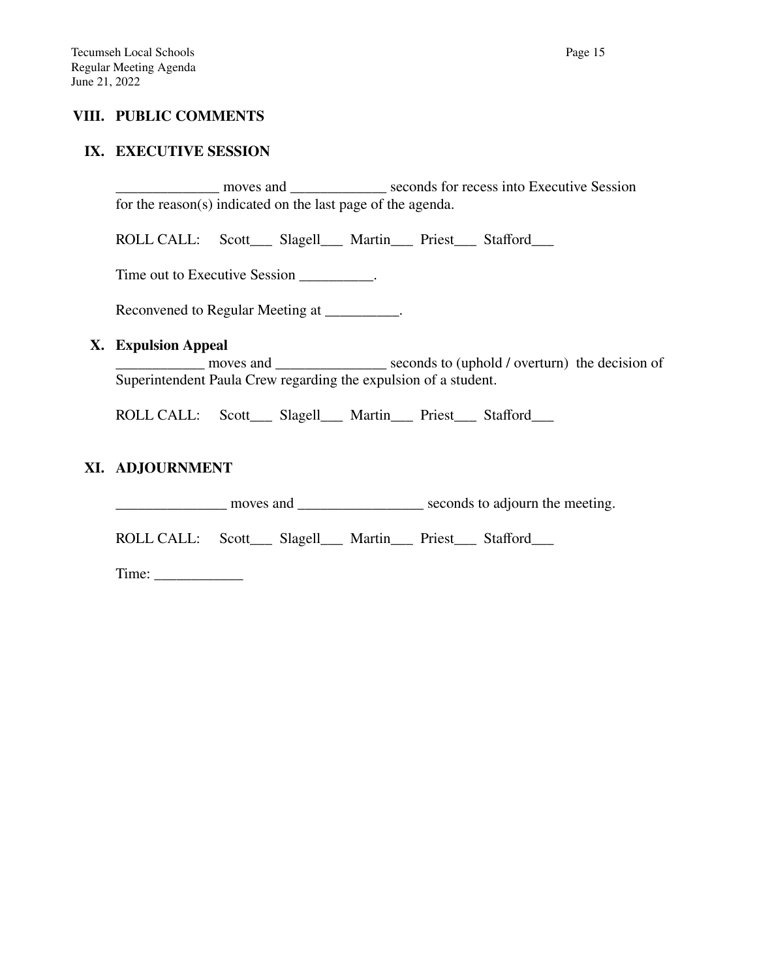## **VIII. PUBLIC COMMENTS**

#### **IX. EXECUTIVE SESSION**

\_\_\_\_\_\_\_\_\_\_\_\_\_\_ moves and \_\_\_\_\_\_\_\_\_\_\_\_\_ seconds for recess into Executive Session for the reason(s) indicated on the last page of the agenda.

ROLL CALL: Scott\_\_\_ Slagell\_\_\_ Martin\_\_\_ Priest\_\_\_ Stafford\_\_\_

Time out to Executive Session \_\_\_\_\_\_\_\_\_.

Reconvened to Regular Meeting at \_\_\_\_\_\_\_\_\_\_.

#### **X. Expulsion Appeal**

moves and seconds to (uphold / overturn) the decision of Superintendent Paula Crew regarding the expulsion of a student.

ROLL CALL: Scott\_\_\_ Slagell\_\_\_ Martin\_\_\_ Priest\_\_\_ Stafford\_\_\_

### **XI. ADJOURNMENT**

\_\_\_\_\_\_\_\_\_\_\_\_\_\_\_ moves and \_\_\_\_\_\_\_\_\_\_\_\_\_\_\_\_\_ seconds to adjourn the meeting.

ROLL CALL: Scott\_\_\_ Slagell\_\_\_ Martin\_\_\_ Priest\_\_\_ Stafford\_\_\_

Time: \_\_\_\_\_\_\_\_\_\_\_\_